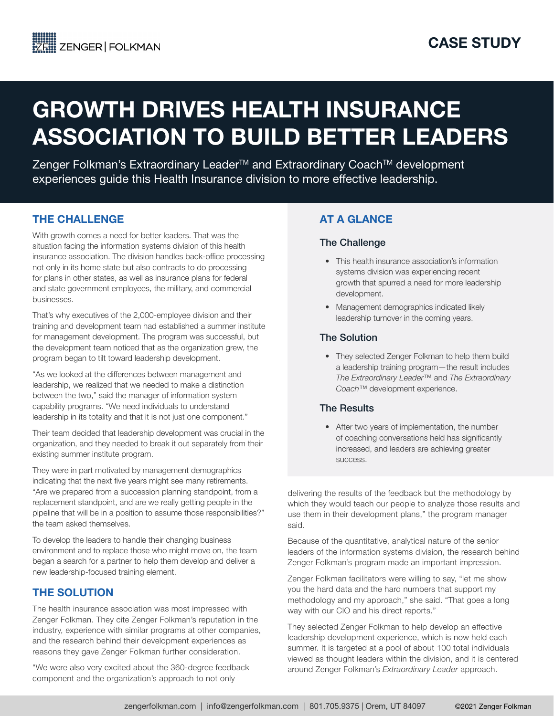# GROWTH DRIVES HEALTH INSURANCE ASSOCIATION TO BUILD BETTER LEADERS

Zenger Folkman's Extraordinary Leader<sup>™</sup> and Extraordinary Coach<sup>™</sup> development experiences guide this Health Insurance division to more effective leadership.

# THE CHALLENGE

With growth comes a need for better leaders. That was the situation facing the information systems division of this health insurance association. The division handles back-office processing not only in its home state but also contracts to do processing for plans in other states, as well as insurance plans for federal and state government employees, the military, and commercial businesses.

That's why executives of the 2,000-employee division and their training and development team had established a summer institute for management development. The program was successful, but the development team noticed that as the organization grew, the program began to tilt toward leadership development.

"As we looked at the differences between management and leadership, we realized that we needed to make a distinction between the two," said the manager of information system capability programs. "We need individuals to understand leadership in its totality and that it is not just one component."

Their team decided that leadership development was crucial in the organization, and they needed to break it out separately from their existing summer institute program.

They were in part motivated by management demographics indicating that the next five years might see many retirements. "Are we prepared from a succession planning standpoint, from a replacement standpoint, and are we really getting people in the pipeline that will be in a position to assume those responsibilities?" the team asked themselves.

To develop the leaders to handle their changing business environment and to replace those who might move on, the team began a search for a partner to help them develop and deliver a new leadership-focused training element.

## THE SOLUTION

The health insurance association was most impressed with Zenger Folkman. They cite Zenger Folkman's reputation in the industry, experience with similar programs at other companies, and the research behind their development experiences as reasons they gave Zenger Folkman further consideration.

"We were also very excited about the 360-degree feedback component and the organization's approach to not only

# AT A GLANCE

#### The Challenge

- This health insurance association's information systems division was experiencing recent growth that spurred a need for more leadership development.
- Management demographics indicated likely leadership turnover in the coming years.

#### The Solution

• They selected Zenger Folkman to help them build a leadership training program—the result includes *The Extraordinary Leader*™ and *The Extraordinary Coach*™ development experience.

#### The Results

• After two years of implementation, the number of coaching conversations held has significantly increased, and leaders are achieving greater success.

delivering the results of the feedback but the methodology by which they would teach our people to analyze those results and use them in their development plans," the program manager said.

Because of the quantitative, analytical nature of the senior leaders of the information systems division, the research behind Zenger Folkman's program made an important impression.

Zenger Folkman facilitators were willing to say, "let me show you the hard data and the hard numbers that support my methodology and my approach," she said. "That goes a long way with our CIO and his direct reports."

They selected Zenger Folkman to help develop an effective leadership development experience, which is now held each summer. It is targeted at a pool of about 100 total individuals viewed as thought leaders within the division, and it is centered around Zenger Folkman's *Extraordinary Leader* approach.